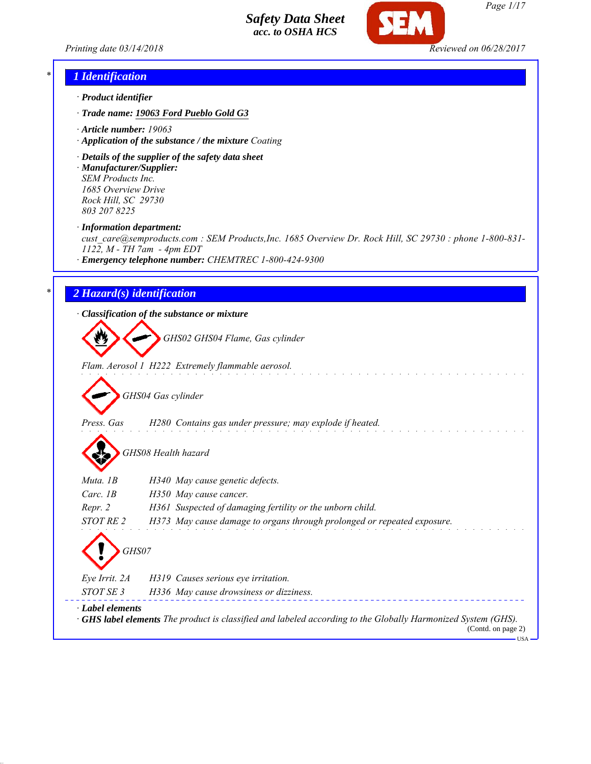*Printing date 03/14/2018 Reviewed on 06/28/2017*



# *\* 1 Identification*

- *· Product identifier*
- *· Trade name: 19063 Ford Pueblo Gold G3*
- *· Article number: 19063*
- *· Application of the substance / the mixture Coating*
- *· Details of the supplier of the safety data sheet · Manufacturer/Supplier: SEM Products Inc.*

*1685 Overview Drive Rock Hill, SC 29730 803 207 8225*

*· Information department:*

*cust\_care@semproducts.com : SEM Products,Inc. 1685 Overview Dr. Rock Hill, SC 29730 : phone 1-800-831- 1122, M - TH 7am - 4pm EDT*

*· Emergency telephone number: CHEMTREC 1-800-424-9300*

## *\* 2 Hazard(s) identification*

*· Classification of the substance or mixture*

*GHS02 GHS04 Flame, Gas cylinder*

*Flam. Aerosol 1 H222 Extremely flammable aerosol.*

*GHS04 Gas cylinder*

- *Press. Gas H280 Contains gas under pressure; may explode if heated.*
	- *GHS08 Health hazard*

| Muta. 1B               | H340 May cause genetic defects.                                                                                                           |
|------------------------|-------------------------------------------------------------------------------------------------------------------------------------------|
| Carc. $1B$             | H350 May cause cancer.                                                                                                                    |
| Repr. 2                | H361 Suspected of damaging fertility or the unborn child.                                                                                 |
| STOT RE 2              | H373 May cause damage to organs through prolonged or repeated exposure.                                                                   |
| GHS07<br>Eye Irrit. 2A | H319 Causes serious eye irritation.                                                                                                       |
| STOT SE 3              | H336 May cause drowsiness or dizziness.                                                                                                   |
| · Label elements       | $\cdot$ GHS label elements The product is classified and labeled according to the Globally Harmonized System (GHS).<br>(Contd. on page 2) |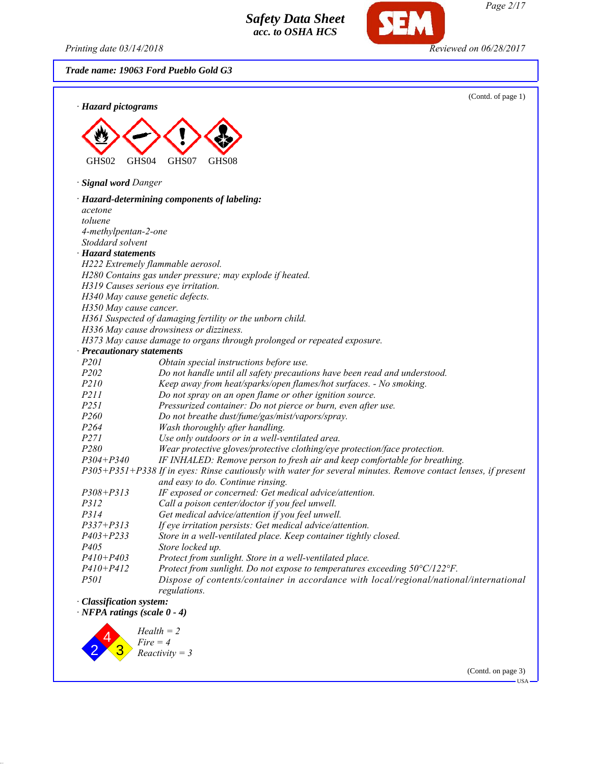*Printing date 03/14/2018 Reviewed on 06/28/2017*

*Trade name: 19063 Ford Pueblo Gold G3*





(Contd. on page 3)

**IISA**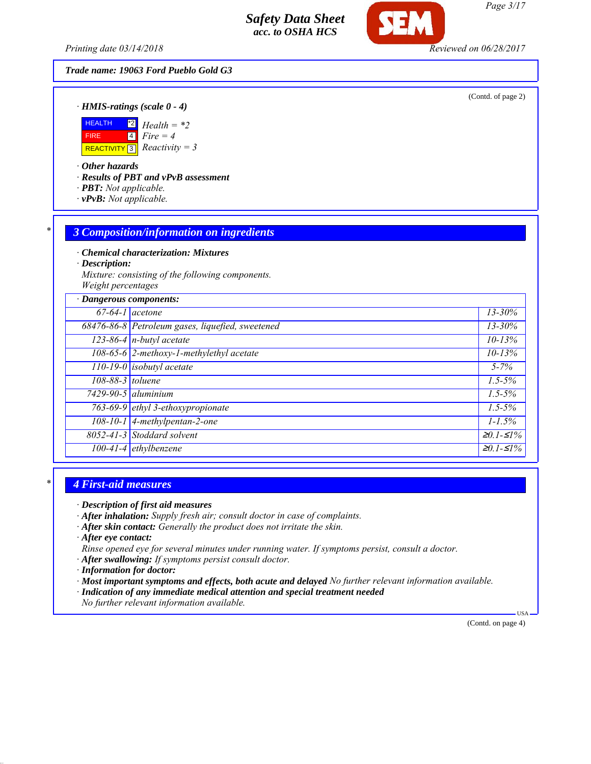*Printing date 03/14/2018 Reviewed on 06/28/2017*

# *Trade name: 19063 Ford Pueblo Gold G3*

(Contd. of page 2)

*· HMIS-ratings (scale 0 - 4)*



*· Other hazards*

*· Results of PBT and vPvB assessment*

- *· PBT: Not applicable.*
- *· vPvB: Not applicable.*

#### *\* 3 Composition/information on ingredients*

*· Chemical characterization: Mixtures*

*· Description:*

*Mixture: consisting of the following components. Weight percentages*

| · Dangerous components: |                                                  |                   |
|-------------------------|--------------------------------------------------|-------------------|
| $67-64-1$ acetone       |                                                  | $13 - 30\%$       |
|                         | 68476-86-8 Petroleum gases, liquefied, sweetened | $13 - 30\%$       |
|                         | $123-86-4$ n-butyl acetate                       | $10 - 13%$        |
|                         | 108-65-6 2-methoxy-1-methylethyl acetate         | $10 - 13%$        |
|                         | $\boxed{110-19-0}$ isobutyl acetate              | $5 - 7\%$         |
| 108-88-3 toluene        |                                                  | $1.5 - 5\%$       |
|                         | $7429-90-5$ aluminium                            | $1.5 - 5\%$       |
|                         | 763-69-9 ethyl 3-ethoxypropionate                | $1.5 - 5\%$       |
|                         | 108-10-1 4-methylpentan-2-one                    | $1 - 1.5\%$       |
|                         | 8052-41-3 Stoddard solvent                       | $≥0.1-S1%$        |
|                         | $\overline{100-41-4}$ ethylbenzene               | $\geq 0.1 - 51\%$ |

#### *\* 4 First-aid measures*

*· Description of first aid measures*

- *· After inhalation: Supply fresh air; consult doctor in case of complaints.*
- *· After skin contact: Generally the product does not irritate the skin.*

*· After eye contact:*

- *Rinse opened eye for several minutes under running water. If symptoms persist, consult a doctor.*
- *· After swallowing: If symptoms persist consult doctor.*
- *· Information for doctor:*
- *· Most important symptoms and effects, both acute and delayed No further relevant information available.*
- *· Indication of any immediate medical attention and special treatment needed*
- *No further relevant information available.*

(Contd. on page 4)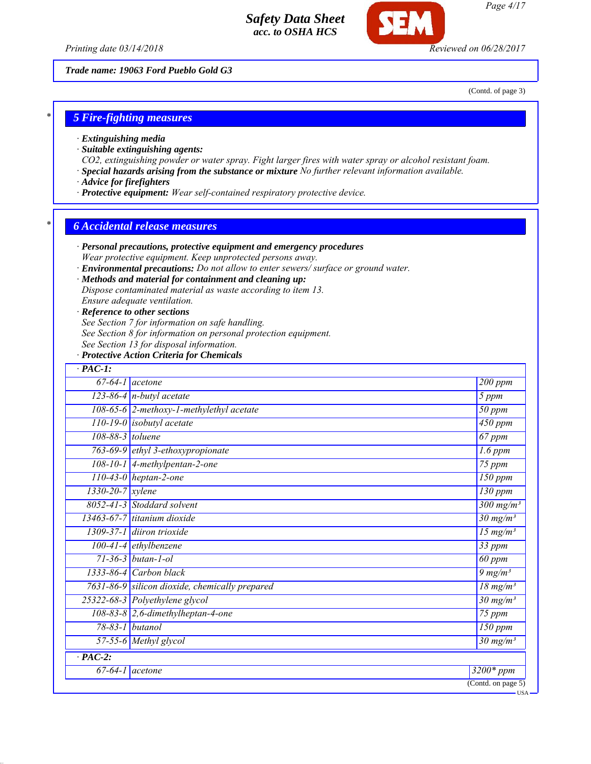*Printing date 03/14/2018 Reviewed on 06/28/2017*

*Trade name: 19063 Ford Pueblo Gold G3*

(Contd. of page 3)

USA

#### *\* 5 Fire-fighting measures*

- *· Extinguishing media*
- *· Suitable extinguishing agents:*
- *CO2, extinguishing powder or water spray. Fight larger fires with water spray or alcohol resistant foam.*
- *· Special hazards arising from the substance or mixture No further relevant information available.*
- *· Advice for firefighters*
- *· Protective equipment: Wear self-contained respiratory protective device.*

#### *\* 6 Accidental release measures*

- *· Personal precautions, protective equipment and emergency procedures Wear protective equipment. Keep unprotected persons away.*
- *· Environmental precautions: Do not allow to enter sewers/ surface or ground water.*

#### *· Methods and material for containment and cleaning up:*

*Dispose contaminated material as waste according to item 13.*

*Ensure adequate ventilation.*

#### *· Reference to other sections*

*See Section 7 for information on safe handling.*

- *See Section 8 for information on personal protection equipment.*
- *See Section 13 for disposal information.*

#### *· Protective Action Criteria for Chemicals*

| $67 - 64 - 1$<br><i>acetone</i>                | 200 ppm                           |
|------------------------------------------------|-----------------------------------|
| 123-86-4 $n$ -butyl acetate                    | 5 ppm                             |
| 108-65-6 $2$ -methoxy-1-methylethyl acetate    | 50 ppm                            |
| $110-19-0$ isobutyl acetate                    | $\overline{450}$ ppm              |
| 108-88-3 toluene                               | 67 ppm                            |
| 763-69-9 ethyl 3-ethoxypropionate              | $1.6$ ppm                         |
| $108 - 10 - 1$<br>4-methylpentan-2-one         | $75$ ppm                          |
| $110-43-0$ heptan-2-one                        | $\overline{150}$ ppm              |
| $1330 - 20 - 7$ <i>xylene</i>                  | $\overline{130}$ ppm              |
| 8052-41-3 Stoddard solvent                     | $300$ mg/m <sup>3</sup>           |
| 13463-67-7 titanium dioxide                    | $\overline{30}$ mg/m <sup>3</sup> |
| 1309-37-1 diiron trioxide                      | 15 $mg/m^3$                       |
| $100-41-4$ ethylbenzene                        | 33 ppm                            |
| $71 - 36 - 3$ butan-1-ol                       | 60 ppm                            |
| $1333-86-4$ Carbon black                       | $9 \, mg/m3$                      |
| 7631-86-9 silicon dioxide, chemically prepared | $\frac{18}{18}$ mg/m <sup>3</sup> |
| 25322-68-3 Polyethylene glycol                 | $30 \frac{\text{mg}}{\text{m}}$   |
| 108-83-8 2,6-dimethylheptan-4-one              | 75 ppm                            |
| $78 - 83 - 1$<br>butanol                       | $\overline{150}$ ppm              |
| 57-55-6 Methyl glycol                          | $30 \text{ mg/m}^3$               |
| $\cdot$ PAC-2:                                 |                                   |
| $67 - 64 - 1$<br>acetone                       | $\overline{32}00*ppm$             |

*Page 4/17*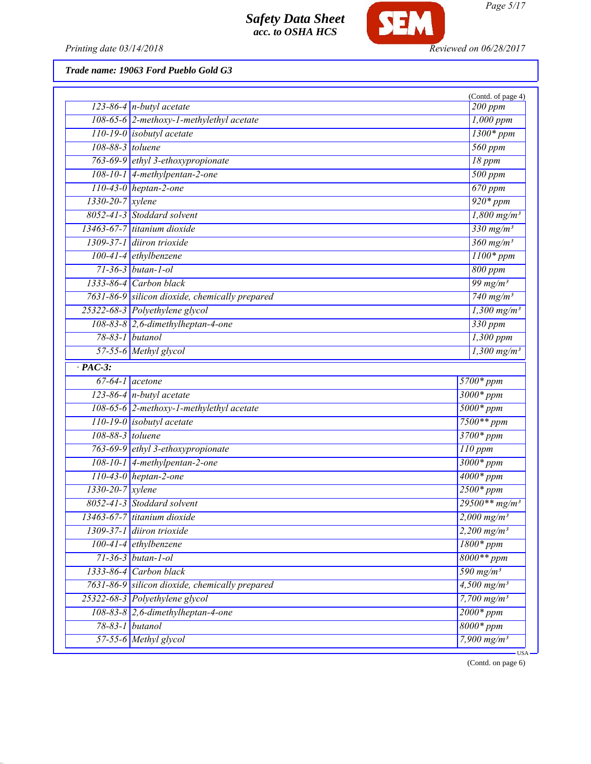

*Printing date 03/14/2018 Reviewed on 06/28/2017*

*Trade name: 19063 Ford Pueblo Gold G3*

|                        |                                                | (Contd. of page 4)               |
|------------------------|------------------------------------------------|----------------------------------|
|                        | 123-86-4 $n$ -butyl acetate                    | 200 ppm                          |
|                        | 108-65-6 2-methoxy-1-methylethyl acetate       | $1,000$ ppm                      |
|                        | $110-19-0$ isobutyl acetate                    | $1300*ppm$                       |
| 108-88-3 toluene       |                                                | 560 ppm                          |
|                        | 763-69-9 ethyl 3-ethoxypropionate              | 18 ppm                           |
|                        | 108-10-1 4-methylpentan-2-one                  | 500 ppm                          |
|                        | $110-43-0$ heptan-2-one                        | $\overline{670~ppm}$             |
| $1330-20-7$ xylene     |                                                | $\frac{920*ppm}{2}$              |
|                        | 8052-41-3 Stoddard solvent                     | $1,800$ mg/m <sup>3</sup>        |
|                        | 13463-67-7 titanium dioxide                    | $330$ mg/m <sup>3</sup>          |
|                        | 1309-37-1 diiron trioxide                      | $360$ mg/m <sup>3</sup>          |
|                        | $100-41-4$ ethylbenzene                        | $1100*ppm$                       |
|                        | $71 - 36 - 3$ butan-1-ol                       | 800 ppm                          |
|                        | $1333-86-4$ Carbon black                       | $\frac{99 \text{ mg}}{m^3}$      |
|                        | 7631-86-9 silicon dioxide, chemically prepared | $\sqrt{740 \text{ mg/m}^3}$      |
|                        | 25322-68-3 Polyethylene glycol                 | $1,300$ mg/m <sup>3</sup>        |
|                        | $108-83-8$ 2,6-dimethylheptan-4-one            | $330$ ppm                        |
|                        | 78-83-1 butanol                                | 1,300 ppm                        |
|                        | 57-55-6 Methyl glycol                          | $1,300$ mg/m <sup>3</sup>        |
| $\cdot$ PAC-3:         |                                                |                                  |
|                        | $67-64-1$ acetone                              | 5700*ppm                         |
|                        | 123-86-4 $n$ -butyl acetate                    | $3000*ppm$                       |
|                        | 108-65-6 2-methoxy-1-methylethyl acetate       | $5000*ppm$                       |
|                        | $110-19-0$ isobutyl acetate                    | $7500**$ ppm                     |
| 108-88-3 toluene       |                                                | $3700*ppm$                       |
|                        | 763-69-9 ethyl 3-ethoxypropionate              | $110$ ppm                        |
|                        | $108-10-1$ 4-methylpentan-2-one                | $3000*ppm$                       |
|                        | $110-43-0$ heptan-2-one                        | $\frac{4000*}{ppm}$              |
| $1330 - 20 - 7$ xylene |                                                | $2500*ppm$                       |
|                        | 8052-41-3 Stoddard solvent                     | $29500**mg/m^3$                  |
|                        | 13463-67-7 titanium dioxide                    | $2,000$ mg/m <sup>3</sup>        |
|                        | 1309-37-1 diiron trioxide                      | $\sqrt{2,200}$ mg/m <sup>3</sup> |
|                        | $100-41-4$ ethylbenzene                        | $1800*ppm$                       |
|                        | $71 - 36 - 3$ butan-1-ol                       | $8000**$ ppm                     |
|                        | 1333-86-4 Carbon black                         | $590$ mg/m <sup>3</sup>          |
|                        | 7631-86-9 silicon dioxide, chemically prepared | $4,500$ mg/m <sup>3</sup>        |
|                        | 25322-68-3 Polyethylene glycol                 | 7,700 $mg/m^3$                   |
|                        | $108-83-8$ 2,6-dimethylheptan-4-one            | $2000*ppm$                       |
|                        | $78-83-1$ butanol                              | $8000*ppm$                       |
|                        | 57-55-6 Methyl glycol                          | 7,900 $mg/m^3$                   |
|                        |                                                | <b>USA</b>                       |

(Contd. on page 6)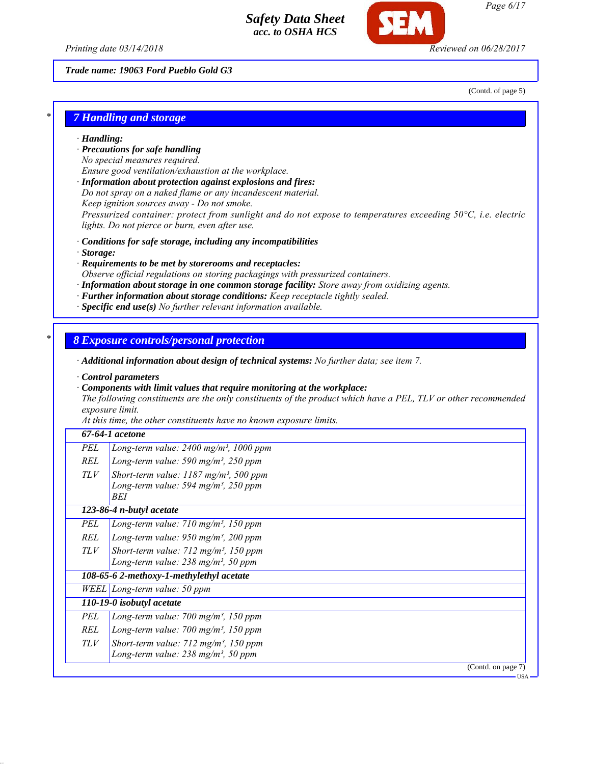*Printing date 03/14/2018 Reviewed on 06/28/2017*

*Trade name: 19063 Ford Pueblo Gold G3*

(Contd. of page 5)

## *\* 7 Handling and storage*

#### *· Handling:*

- *· Precautions for safe handling*
- *No special measures required.*
- *Ensure good ventilation/exhaustion at the workplace.*
- *· Information about protection against explosions and fires:*
- *Do not spray on a naked flame or any incandescent material.*
- *Keep ignition sources away Do not smoke.*

*Pressurized container: protect from sunlight and do not expose to temperatures exceeding 50°C, i.e. electric lights. Do not pierce or burn, even after use.*

- *· Conditions for safe storage, including any incompatibilities*
- *· Storage:*
- *· Requirements to be met by storerooms and receptacles:*
- *Observe official regulations on storing packagings with pressurized containers.*
- *· Information about storage in one common storage facility: Store away from oxidizing agents.*
- *· Further information about storage conditions: Keep receptacle tightly sealed.*
- *· Specific end use(s) No further relevant information available.*

#### *\* 8 Exposure controls/personal protection*

*· Additional information about design of technical systems: No further data; see item 7.*

*· Control parameters*

*· Components with limit values that require monitoring at the workplace:*

*The following constituents are the only constituents of the product which have a PEL, TLV or other recommended exposure limit.*

*At this time, the other constituents have no known exposure limits.*

#### *67-64-1 acetone*

| PEL $\vert$ Long-term value: 2400 mg/m <sup>3</sup> , 1000 ppm |
|----------------------------------------------------------------|
| REL Long-term value: 590 mg/m <sup>3</sup> , 250 ppm           |

*TLV Short-term value: 1187 mg/m³, 500 ppm Long-term value: 594 mg/m³, 250 ppm BEI*

*123-86-4 n-butyl acetate*

- *PEL Long-term value: 710 mg/m³, 150 ppm REL Long-term value: 950 mg/m³, 200 ppm*
- *TLV Short-term value: 712 mg/m³, 150 ppm Long-term value: 238 mg/m³, 50 ppm*

*108-65-6 2-methoxy-1-methylethyl acetate*

*WEEL Long-term value: 50 ppm*

- *110-19-0 isobutyl acetate*
	- *PEL Long-term value: 700 mg/m³, 150 ppm*
	- *REL Long-term value: 700 mg/m³, 150 ppm*
	- *TLV Short-term value: 712 mg/m³, 150 ppm*
		- *Long-term value: 238 mg/m³, 50 ppm*

(Contd. on page 7)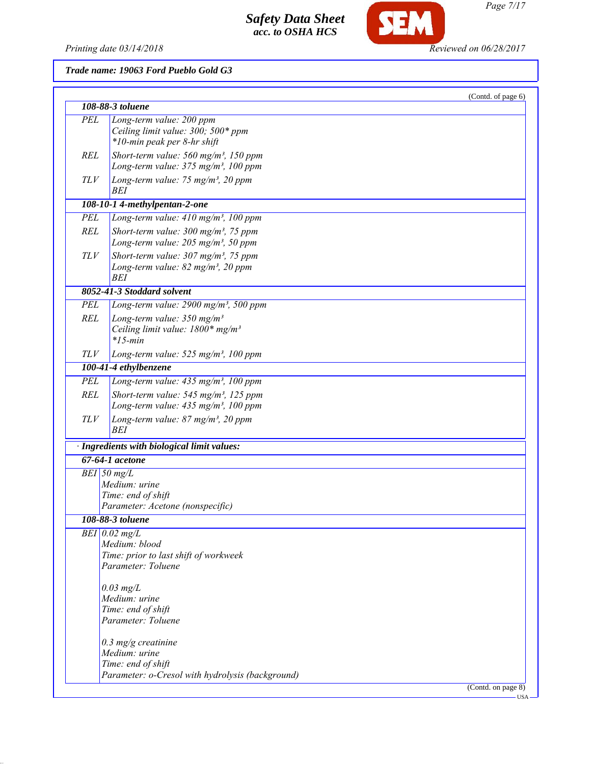*Printing date 03/14/2018 Reviewed on 06/28/2017*

SEM

*Trade name: 19063 Ford Pueblo Gold G3*

|            |                                                                                                      | (Contd. of page 6) |
|------------|------------------------------------------------------------------------------------------------------|--------------------|
|            | 108-88-3 toluene                                                                                     |                    |
| <b>PEL</b> | Long-term value: 200 ppm                                                                             |                    |
|            | Ceiling limit value: 300; 500* ppm                                                                   |                    |
|            | *10-min peak per 8-hr shift                                                                          |                    |
| REL        | Short-term value: $560$ mg/m <sup>3</sup> , 150 ppm                                                  |                    |
|            | Long-term value: 375 mg/m <sup>3</sup> , 100 ppm                                                     |                    |
| TLV        | Long-term value: 75 mg/m <sup>3</sup> , 20 ppm                                                       |                    |
|            | BEI                                                                                                  |                    |
|            | 108-10-1 4-methylpentan-2-one                                                                        |                    |
| <b>PEL</b> | Long-term value: $410$ mg/m <sup>3</sup> , 100 ppm                                                   |                    |
| <b>REL</b> | Short-term value: $300 \text{ mg/m}^3$ , 75 ppm<br>Long-term value: $205$ mg/m <sup>3</sup> , 50 ppm |                    |
| TLV        | Short-term value: $307 \text{ mg/m}^3$ , 75 ppm                                                      |                    |
|            | Long-term value: $82$ mg/m <sup>3</sup> , 20 ppm                                                     |                    |
|            | BEI                                                                                                  |                    |
|            | 8052-41-3 Stoddard solvent                                                                           |                    |
| PEL        | Long-term value: 2900 mg/m <sup>3</sup> , 500 ppm                                                    |                    |
| REL        | Long-term value: $350$ mg/m <sup>3</sup>                                                             |                    |
|            | Ceiling limit value: $1800*$ mg/m <sup>3</sup>                                                       |                    |
|            | $*15$ -min                                                                                           |                    |
| TLV        | Long-term value: $525$ mg/m <sup>3</sup> , 100 ppm                                                   |                    |
|            | 100-41-4 ethylbenzene                                                                                |                    |
| <b>PEL</b> | Long-term value: 435 mg/m <sup>3</sup> , 100 ppm                                                     |                    |
| REL        | Short-term value: $545$ mg/m <sup>3</sup> , 125 ppm                                                  |                    |
|            | Long-term value: $435$ mg/m <sup>3</sup> , 100 ppm                                                   |                    |
| TLV        | Long-term value: 87 mg/m <sup>3</sup> , 20 ppm<br>BEI                                                |                    |
|            | · Ingredients with biological limit values:                                                          |                    |
|            | $67-64-1$ acetone                                                                                    |                    |
|            | $BEI$ 50 mg/L                                                                                        |                    |
|            | Medium: urine                                                                                        |                    |
|            | Time: end of shift                                                                                   |                    |
|            | Parameter: Acetone (nonspecific)                                                                     |                    |
|            | 108-88-3 toluene                                                                                     |                    |
|            | $BEI$ 0.02 mg/L                                                                                      |                    |
|            | Medium: blood                                                                                        |                    |
|            | Time: prior to last shift of workweek                                                                |                    |
|            | Parameter: Toluene                                                                                   |                    |
|            | $0.03$ mg/L                                                                                          |                    |
|            | Medium: urine                                                                                        |                    |
|            | Time: end of shift                                                                                   |                    |
|            | Parameter: Toluene                                                                                   |                    |
|            |                                                                                                      |                    |
|            | $0.3$ mg/g creatinine<br>Medium: urine                                                               |                    |
|            | Time: end of shift                                                                                   |                    |
|            | Parameter: o-Cresol with hydrolysis (background)                                                     |                    |
|            |                                                                                                      | (Contd. on page 8) |
|            |                                                                                                      | - USA              |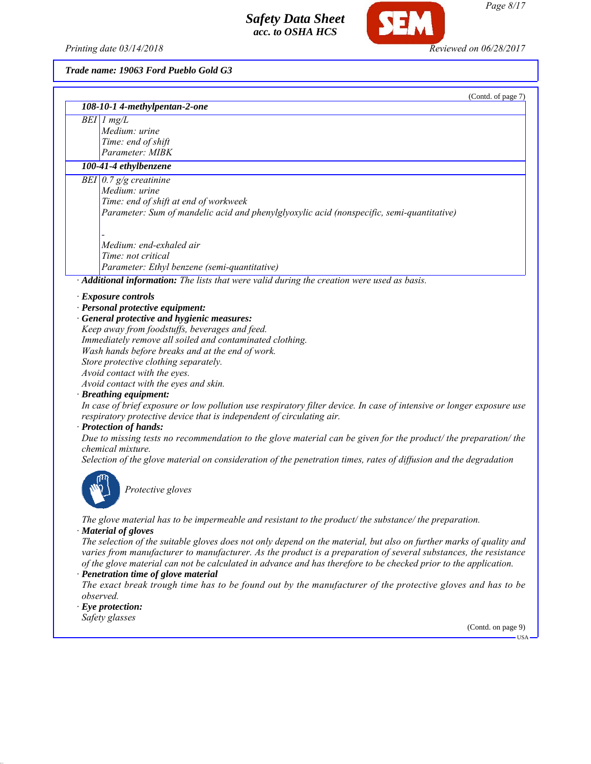*Printing date 03/14/2018 Reviewed on 06/28/2017*

SEM

*Trade name: 19063 Ford Pueblo Gold G3*

| (Contd. of page 7)<br>108-10-1 4-methylpentan-2-one                                                                   |
|-----------------------------------------------------------------------------------------------------------------------|
| $BEI$ 1 mg/L                                                                                                          |
| Medium: urine                                                                                                         |
| Time: end of shift                                                                                                    |
| Parameter: MIBK                                                                                                       |
| 100-41-4 ethylbenzene                                                                                                 |
| BEI $\vert 0.7 \, \mathrm{g/g}$ creatinine                                                                            |
| Medium: urine                                                                                                         |
| Time: end of shift at end of workweek                                                                                 |
| Parameter: Sum of mandelic acid and phenylglyoxylic acid (nonspecific, semi-quantitative)                             |
|                                                                                                                       |
| Medium: end-exhaled air                                                                                               |
| Time: not critical                                                                                                    |
| Parameter: Ethyl benzene (semi-quantitative)                                                                          |
| Additional information: The lists that were valid during the creation were used as basis.                             |
| · Exposure controls                                                                                                   |
| · Personal protective equipment:                                                                                      |
| · General protective and hygienic measures:                                                                           |
| Keep away from foodstuffs, beverages and feed.                                                                        |
| Immediately remove all soiled and contaminated clothing.                                                              |
| Wash hands before breaks and at the end of work.                                                                      |
| Store protective clothing separately.                                                                                 |
| Avoid contact with the eyes.                                                                                          |
| Avoid contact with the eyes and skin.                                                                                 |
| · Breathing equipment:                                                                                                |
| In case of brief exposure or low pollution use respiratory filter device. In case of intensive or longer exposure use |
| respiratory protective device that is independent of circulating air.                                                 |
| · Protection of hands:                                                                                                |
| Due to missing tests no recommendation to the glove material can be given for the product/ the preparation/ the       |
| chemical mixture.                                                                                                     |
| Selection of the glove material on consideration of the penetration times, rates of diffusion and the degradation     |
|                                                                                                                       |
|                                                                                                                       |
| Protective gloves                                                                                                     |
|                                                                                                                       |
| The glove material has to be impermeable and resistant to the product/ the substance/ the preparation.                |
| · Material of gloves                                                                                                  |
| The selection of the suitable gloves does not only depend on the material, but also on further marks of quality and   |
| varies from manufacturer to manufacturer. As the product is a preparation of several substances, the resistance       |
| of the glove material can not be calculated in advance and has therefore to be checked prior to the application.      |
| · Penetration time of glove material                                                                                  |
| The exact break trough time has to be found out by the manufacturer of the protective gloves and has to be            |
| observed.                                                                                                             |
| $\cdot$ Eye protection:                                                                                               |
| Safety glasses                                                                                                        |
| (Contd. on page 9)                                                                                                    |

*Page 8/17*

 $-<sup>USA</sup>$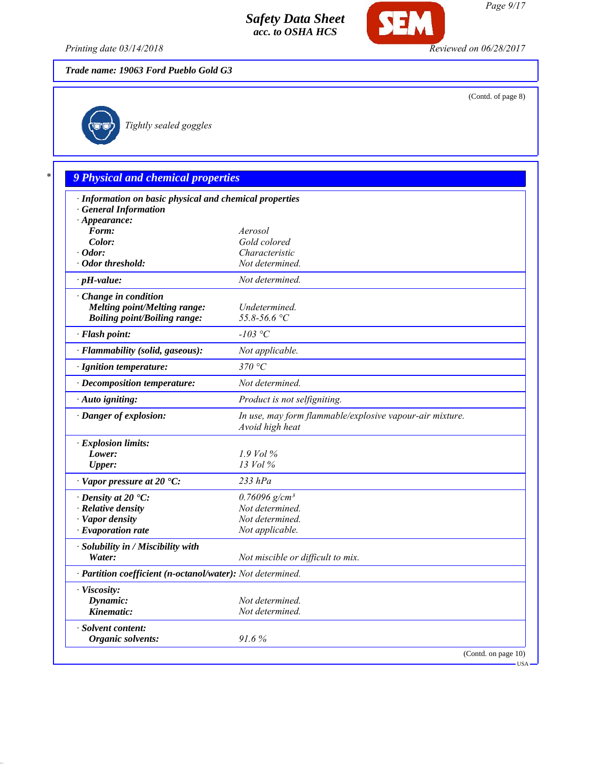

*Printing date 03/14/2018 Reviewed on 06/28/2017*

*Trade name: 19063 Ford Pueblo Gold G3*

(Contd. of page 8)

# *Tightly sealed goggles*

|                                                            | 9 Physical and chemical properties                                          |
|------------------------------------------------------------|-----------------------------------------------------------------------------|
| · Information on basic physical and chemical properties    |                                                                             |
| <b>General Information</b>                                 |                                                                             |
| $\cdot$ Appearance:<br>Form:                               | Aerosol                                                                     |
| Color:                                                     | Gold colored                                                                |
| $\cdot$ Odor:                                              | Characteristic                                                              |
| · Odor threshold:                                          | Not determined.                                                             |
| $\cdot$ pH-value:                                          | Not determined.                                                             |
| $\cdot$ Change in condition                                |                                                                             |
| Melting point/Melting range:                               | Undetermined.                                                               |
| <b>Boiling point/Boiling range:</b>                        | 55.8-56.6 °C                                                                |
| · Flash point:                                             | $-103$ °C                                                                   |
| · Flammability (solid, gaseous):                           | Not applicable.                                                             |
| · Ignition temperature:                                    | 370 °C                                                                      |
| · Decomposition temperature:                               | Not determined.                                                             |
| · Auto igniting:                                           | Product is not selfigniting.                                                |
| · Danger of explosion:                                     | In use, may form flammable/explosive vapour-air mixture.<br>Avoid high heat |
| · Explosion limits:                                        |                                                                             |
| Lower:                                                     | $1.9$ Vol $\%$                                                              |
| <b>Upper:</b>                                              | $13$ Vol $\%$                                                               |
| $\cdot$ Vapor pressure at 20 $\cdot$ C:                    | $233$ hPa                                                                   |
| $\cdot$ Density at 20 $\cdot$ C:                           | $0.76096$ g/cm <sup>3</sup>                                                 |
| $\cdot$ Relative density                                   | Not determined.                                                             |
| · Vapor density                                            | Not determined.                                                             |
| $\cdot$ Evaporation rate                                   | Not applicable.                                                             |
| · Solubility in / Miscibility with                         |                                                                             |
| Water:                                                     | Not miscible or difficult to mix.                                           |
| · Partition coefficient (n-octanol/water): Not determined. |                                                                             |
| · Viscosity:                                               |                                                                             |
| Dynamic:<br>Kinematic:                                     | Not determined.<br>Not determined.                                          |

(Contd. on page 10)  $-$  USA  $-$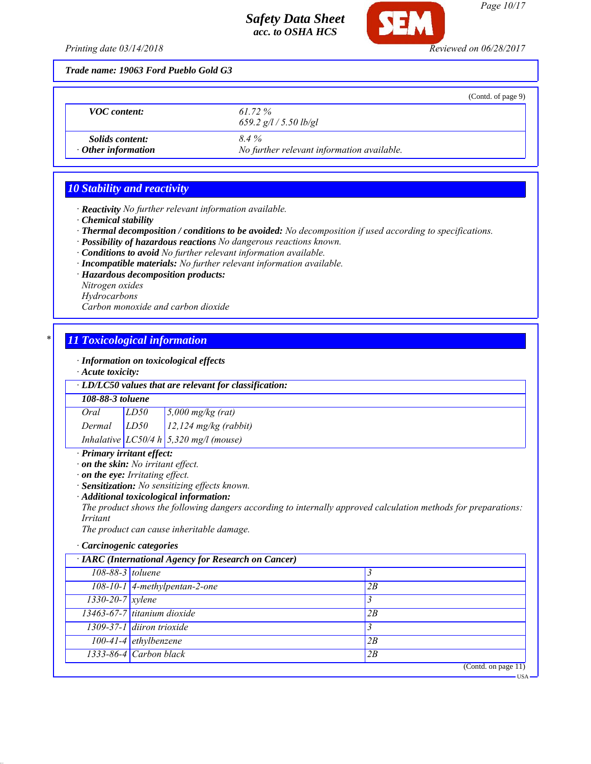

*Page 10/17*

USA

*Printing date 03/14/2018 Reviewed on 06/28/2017*

*Trade name: 19063 Ford Pueblo Gold G3*

|                                                     |                                                    | (Contd. of page 9) |
|-----------------------------------------------------|----------------------------------------------------|--------------------|
| <b>VOC</b> content:                                 | 61.72 %<br>659.2 $g/l / 5.50$ lb/gl                |                    |
| <i>Solids content:</i><br>$\cdot$ Other information | 8.4%<br>No further relevant information available. |                    |

# *10 Stability and reactivity*

*· Reactivity No further relevant information available.*

- *· Chemical stability*
- *· Thermal decomposition / conditions to be avoided: No decomposition if used according to specifications.*
- *· Possibility of hazardous reactions No dangerous reactions known.*
- *· Conditions to avoid No further relevant information available.*
- *· Incompatible materials: No further relevant information available.*
- *· Hazardous decomposition products:*
- *Nitrogen oxides*
- *Hydrocarbons*

*Carbon monoxide and carbon dioxide*

# *\* 11 Toxicological information*

*· Information on toxicological effects*

*· Acute toxicity:*

*· LD/LC50 values that are relevant for classification:*

#### *108-88-3 toluene*

*Oral LD50 5,000 mg/kg (rat)*

*Dermal LD50 12,124 mg/kg (rabbit)*

*Inhalative LC50/4 h 5,320 mg/l (mouse)*

# *· Primary irritant effect:*

- *· on the skin: No irritant effect.*
- *· on the eye: Irritating effect.*
- *· Sensitization: No sensitizing effects known.*
- *· Additional toxicological information:*

*The product shows the following dangers according to internally approved calculation methods for preparations: Irritant*

*The product can cause inheritable damage.*

#### *· Carcinogenic categories*

|                        | · IARC (International Agency for Research on Cancer) |                     |
|------------------------|------------------------------------------------------|---------------------|
| 108-88-3 toluene       |                                                      |                     |
|                        | $108-10-1$ 4-methylpentan-2-one                      | 2B                  |
| $1330 - 20 - 7$ xylene |                                                      |                     |
|                        | 13463-67-7 titanium dioxide                          | 2B                  |
|                        | 1309-37-1 diiron trioxide                            |                     |
|                        | $100-41-4$ ethylbenzene                              | 2B                  |
|                        | 1333-86-4 Carbon black                               | 2B                  |
|                        |                                                      | (Contd. on page 11) |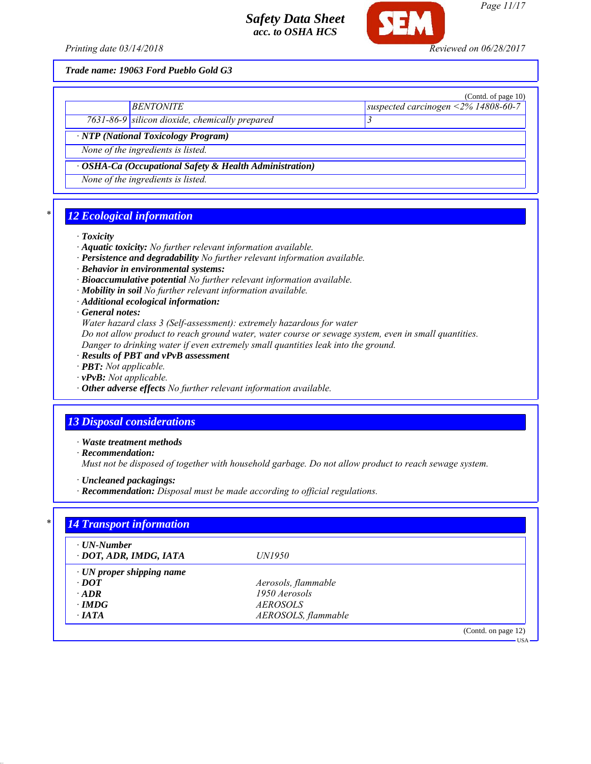

*Page 11/17*

USA

*Trade name: 19063 Ford Pueblo Gold G3*

|                                                               | (Contd. of page 10)                     |
|---------------------------------------------------------------|-----------------------------------------|
| <b>BENTONITE</b>                                              | suspected carcinogen < $2\%$ 14808-60-7 |
| 7631-86-9 silicon dioxide, chemically prepared                |                                         |
| · NTP (National Toxicology Program)                           |                                         |
| None of the ingredients is listed.                            |                                         |
| $\cdot$ OSHA-Ca (Occupational Safety & Health Administration) |                                         |
| None of the ingredients is listed.                            |                                         |

# *\* 12 Ecological information*

#### *· Toxicity*

- *· Aquatic toxicity: No further relevant information available.*
- *· Persistence and degradability No further relevant information available.*
- *· Behavior in environmental systems:*
- *· Bioaccumulative potential No further relevant information available.*
- *· Mobility in soil No further relevant information available.*
- *· Additional ecological information:*

*· General notes:*

*Water hazard class 3 (Self-assessment): extremely hazardous for water*

*Do not allow product to reach ground water, water course or sewage system, even in small quantities.*

- *Danger to drinking water if even extremely small quantities leak into the ground.*
- *· Results of PBT and vPvB assessment*
- *· PBT: Not applicable.*
- *· vPvB: Not applicable.*
- *· Other adverse effects No further relevant information available.*

## *13 Disposal considerations*

*· Waste treatment methods*

*· Recommendation:*

*Must not be disposed of together with household garbage. Do not allow product to reach sewage system.*

*· Uncleaned packagings:*

*· Recommendation: Disposal must be made according to official regulations.*

| $\cdot$ UN-Number               |                     |  |
|---------------------------------|---------------------|--|
| · DOT, ADR, IMDG, IATA          | <i>UN1950</i>       |  |
| $\cdot$ UN proper shipping name |                     |  |
| $\cdot$ DOT                     | Aerosols, flammable |  |
| $\cdot$ ADR                     | 1950 Aerosols       |  |
| $\cdot$ IMDG                    | <i>AEROSOLS</i>     |  |
| $\cdot$ IATA                    | AEROSOLS, flammable |  |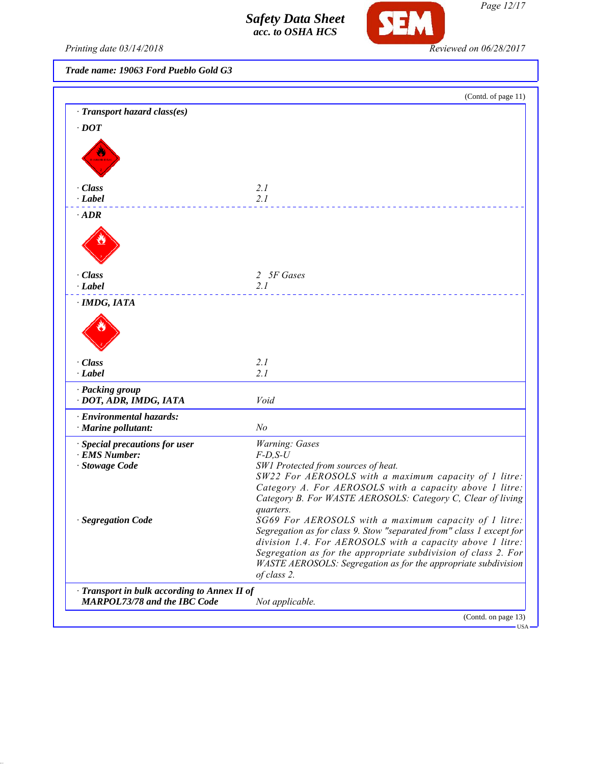

*Page 12/17*

*Printing date 03/14/2018 Reviewed on 06/28/2017*

*Trade name: 19063 Ford Pueblo Gold G3*

|                                                                                     | (Contd. of page 11)                                                                                                    |
|-------------------------------------------------------------------------------------|------------------------------------------------------------------------------------------------------------------------|
| · Transport hazard class(es)                                                        |                                                                                                                        |
| $\cdot$ DOT                                                                         |                                                                                                                        |
|                                                                                     |                                                                                                                        |
|                                                                                     |                                                                                                                        |
|                                                                                     |                                                                                                                        |
|                                                                                     |                                                                                                                        |
| · Class                                                                             | 2.1                                                                                                                    |
| $\cdot$ Label                                                                       | 2.1                                                                                                                    |
| $\cdot$ ADR                                                                         |                                                                                                                        |
|                                                                                     |                                                                                                                        |
|                                                                                     |                                                                                                                        |
|                                                                                     |                                                                                                                        |
| · Class                                                                             | 2 5F Gases                                                                                                             |
| $\cdot$ Label                                                                       | 2.1                                                                                                                    |
|                                                                                     |                                                                                                                        |
| · IMDG, IATA                                                                        |                                                                                                                        |
|                                                                                     |                                                                                                                        |
|                                                                                     |                                                                                                                        |
|                                                                                     |                                                                                                                        |
| · Class                                                                             | 2.1                                                                                                                    |
| · Label                                                                             | 2.1                                                                                                                    |
| · Packing group                                                                     |                                                                                                                        |
| · DOT, ADR, IMDG, IATA                                                              | Void                                                                                                                   |
| · Environmental hazards:                                                            |                                                                                                                        |
| · Marine pollutant:                                                                 | N <sub>o</sub>                                                                                                         |
| · Special precautions for user                                                      | Warning: Gases                                                                                                         |
| · EMS Number:                                                                       | $F-D, S-U$                                                                                                             |
| · Stowage Code                                                                      | SW1 Protected from sources of heat.                                                                                    |
|                                                                                     | SW22 For AEROSOLS with a maximum capacity of 1 litre:                                                                  |
|                                                                                     | Category A. For AEROSOLS with a capacity above 1 litre:<br>Category B. For WASTE AEROSOLS: Category C, Clear of living |
|                                                                                     | quarters.                                                                                                              |
| · Segregation Code                                                                  | SG69 For AEROSOLS with a maximum capacity of 1 litre:                                                                  |
|                                                                                     | Segregation as for class 9. Stow "separated from" class 1 except for                                                   |
|                                                                                     | division 1.4. For AEROSOLS with a capacity above 1 litre:                                                              |
|                                                                                     | Segregation as for the appropriate subdivision of class 2. For                                                         |
|                                                                                     | WASTE AEROSOLS: Segregation as for the appropriate subdivision<br>of class 2.                                          |
|                                                                                     |                                                                                                                        |
| · Transport in bulk according to Annex II of<br><b>MARPOL73/78 and the IBC Code</b> | Not applicable.                                                                                                        |
|                                                                                     |                                                                                                                        |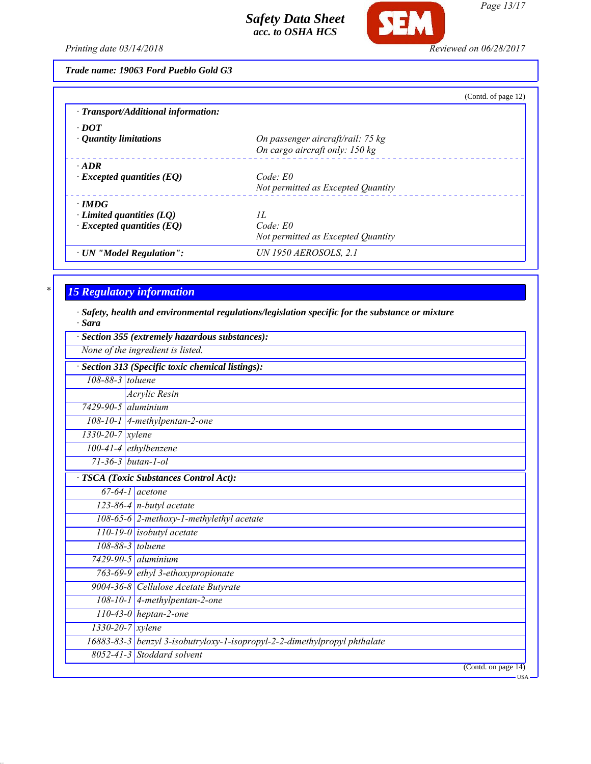

*Page 13/17*

*Printing date 03/14/2018 Reviewed on 06/28/2017*

*Trade name: 19063 Ford Pueblo Gold G3*

|                                           | (Contd. of page 12)                |
|-------------------------------------------|------------------------------------|
| $\cdot$ Transport/Additional information: |                                    |
| $\cdot$ DOT                               |                                    |
| $\cdot$ Quantity limitations              | On passenger aircraft/rail: 75 kg  |
|                                           | On cargo aircraft only: 150 kg     |
| $\cdot$ ADR                               |                                    |
| $\cdot$ Excepted quantities (EQ)          | Code: E0                           |
|                                           | Not permitted as Excepted Quantity |
| $\cdot$ IMDG                              |                                    |
| $\cdot$ Limited quantities (LQ)           | II.                                |
| $\cdot$ Excepted quantities (EQ)          | $Code$ $E0$                        |
|                                           | Not permitted as Excepted Quantity |
| · UN "Model Regulation":                  | <b>UN 1950 AEROSOLS, 2.1</b>       |

# *\* 15 Regulatory information*

*· Safety, health and environmental regulations/legislation specific for the substance or mixture · Sara*

|                           | Section 355 (extremely hazardous substances):                             |
|---------------------------|---------------------------------------------------------------------------|
|                           | None of the ingredient is listed.                                         |
|                           | Section 313 (Specific toxic chemical listings):                           |
| 108-88-3 toluene          |                                                                           |
|                           | <b>Acrylic Resin</b>                                                      |
| $7429 - 90 - 5$ aluminium |                                                                           |
|                           | 108-10-1 4-methylpentan-2-one                                             |
| $1330 - 20 - 7$ xylene    |                                                                           |
|                           | $100-41-4$ ethylbenzene                                                   |
|                           | $71 - 36 - 3$ butan-1-ol                                                  |
|                           | <b>TSCA</b> (Toxic Substances Control Act):                               |
|                           | $67-64-1$ acetone                                                         |
|                           | $123-86-4$ n-butyl acetate                                                |
|                           | 108-65-6 2-methoxy-1-methylethyl acetate                                  |
|                           | $110-19-0$ isobutyl acetate                                               |
|                           | 108-88-3 toluene                                                          |
|                           | $7429 - 90 - 5$ aluminium                                                 |
|                           | 763-69-9 ethyl 3-ethoxypropionate                                         |
|                           | 9004-36-8 Cellulose Acetate Butyrate                                      |
|                           | 108-10-1 4-methylpentan-2-one                                             |
|                           | $110-43-0$ heptan-2-one                                                   |
|                           | $1330 - 20 - 7$ xylene                                                    |
|                           | 16883-83-3 benzyl 3-isobutryloxy-1-isopropyl-2-2-dimethylpropyl phthalate |
|                           | $8052 - 41 - 3$ Stoddard solvent                                          |
|                           | (Contd. on page 14)                                                       |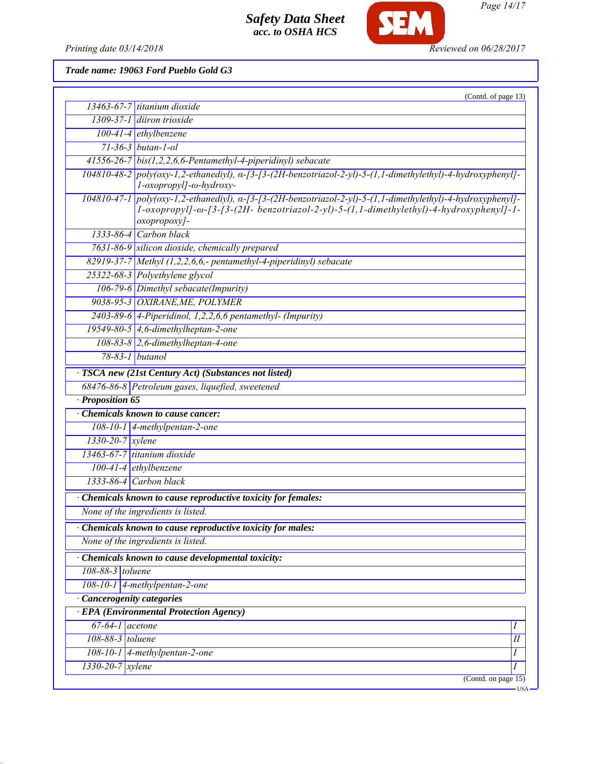

*Page 14/17*

*Printing date 03/14/2018 Reviewed on 06/28/2017*

*Trade name: 19063 Ford Pueblo Gold G3*

|                               | (Contd. of page 13)                                                                                                                                                                                                                       |
|-------------------------------|-------------------------------------------------------------------------------------------------------------------------------------------------------------------------------------------------------------------------------------------|
|                               | $13463-67-7$ titanium dioxide                                                                                                                                                                                                             |
|                               | $1309-37-1$ diiron trioxide                                                                                                                                                                                                               |
|                               | $100-41-4$ ethylbenzene                                                                                                                                                                                                                   |
|                               | $71 - 36 - 3$ butan-1-ol                                                                                                                                                                                                                  |
|                               | $41556-26-7$ bis(1,2,2,6,6-Pentamethyl-4-piperidinyl) sebacate                                                                                                                                                                            |
|                               | $104810-48-2$ poly(oxy-1,2-ethanediyl), $\alpha$ -[3-[3-(2H-benzotriazol-2-yl)-5-(1,1-dimethylethyl)-4-hydroxyphenyl]-<br>l-oxopropyl]-ω-hydroxy-                                                                                         |
|                               | $104810-47-1$ poly(oxy-1,2-ethanediyl), $\alpha$ -[3-[3-(2H-benzotriazol-2-yl)-5-(1,1-dimethylethyl)-4-hydroxyphenyl]-<br>$1$ -oxopropyl]- $\omega$ -[3-(2H- benzotriazol-2-yl)-5-(1,1-dimethylethyl)-4-hydroxyphenyl]-1-<br>oxopropoxy]- |
|                               | 1333-86-4 Carbon black                                                                                                                                                                                                                    |
|                               | 7631-86-9 silicon dioxide, chemically prepared                                                                                                                                                                                            |
|                               | $82919-37-7$ Methyl (1,2,2,6,6,- pentamethyl-4-piperidinyl) sebacate                                                                                                                                                                      |
|                               | 25322-68-3 Polyethylene glycol                                                                                                                                                                                                            |
|                               | 106-79-6 Dimethyl sebacate(Impurity)                                                                                                                                                                                                      |
|                               | 9038-95-3 OXIRANE, ME, POLYMER                                                                                                                                                                                                            |
|                               | 2403-89-6 4-Piperidinol, 1,2,2,6,6 pentamethyl- (Impurity)                                                                                                                                                                                |
|                               | 19549-80-5 $\vert$ 4,6-dimethylheptan-2-one                                                                                                                                                                                               |
|                               | $108-83-8$ 2,6-dimethylheptan-4-one                                                                                                                                                                                                       |
|                               | 78-83-1 butanol                                                                                                                                                                                                                           |
|                               | · TSCA new (21st Century Act) (Substances not listed)                                                                                                                                                                                     |
|                               | 68476-86-8 Petroleum gases, liquefied, sweetened                                                                                                                                                                                          |
| · Proposition 65              |                                                                                                                                                                                                                                           |
|                               | Chemicals known to cause cancer:                                                                                                                                                                                                          |
|                               | 108-10-1 $\vert$ 4-methylpentan-2-one                                                                                                                                                                                                     |
| $1330-20-7$ xylene            |                                                                                                                                                                                                                                           |
|                               | 13463-67-7 titanium dioxide                                                                                                                                                                                                               |
|                               | $100-41-4$ ethylbenzene                                                                                                                                                                                                                   |
|                               | $1333-86-4$ Carbon black                                                                                                                                                                                                                  |
|                               |                                                                                                                                                                                                                                           |
|                               | Chemicals known to cause reproductive toxicity for females:                                                                                                                                                                               |
|                               | None of the ingredients is listed.                                                                                                                                                                                                        |
|                               | Chemicals known to cause reproductive toxicity for males:                                                                                                                                                                                 |
|                               | None of the ingredients is listed.                                                                                                                                                                                                        |
|                               | Chemicals known to cause developmental toxicity:                                                                                                                                                                                          |
| 108-88-3 toluene              |                                                                                                                                                                                                                                           |
|                               | $108-10-1$ 4-methylpentan-2-one                                                                                                                                                                                                           |
| · Cancerogenity categories    |                                                                                                                                                                                                                                           |
|                               | <b>EPA</b> (Environmental Protection Agency)                                                                                                                                                                                              |
| $67-64-1$ acetone             | Ι                                                                                                                                                                                                                                         |
| 108-88-3 toluene              | I                                                                                                                                                                                                                                         |
|                               | $108-10-1$ 4-methylpentan-2-one<br>$\boldsymbol{I}$                                                                                                                                                                                       |
| $1330 - 20 - 7$ <i>xylene</i> | I                                                                                                                                                                                                                                         |
|                               | (Contd. on page $15$ )                                                                                                                                                                                                                    |
|                               | USA-                                                                                                                                                                                                                                      |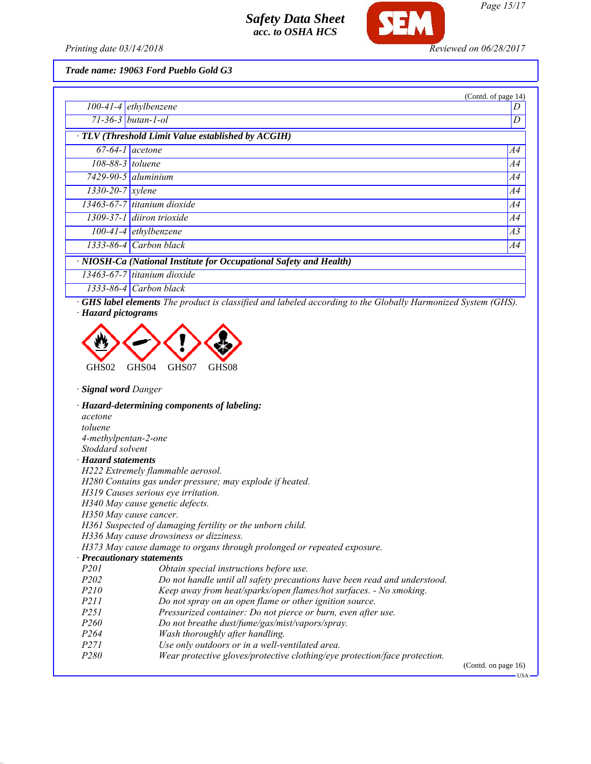

*Printing date 03/14/2018 Reviewed on 06/28/2017*

*Trade name: 19063 Ford Pueblo Gold G3*

|                                                                    |                                                    | (Contd. of page 14) |
|--------------------------------------------------------------------|----------------------------------------------------|---------------------|
|                                                                    | $100-41-4$ ethylbenzene                            | D                   |
|                                                                    | $71 - 36 - 3$   butan-1-ol                         | D                   |
|                                                                    | · TLV (Threshold Limit Value established by ACGIH) |                     |
|                                                                    | $67-64-1$ acetone                                  | A4                  |
| $108-88-3$ toluene                                                 |                                                    | A4                  |
|                                                                    | $7429-90-5$ aluminium                              | A4                  |
| $1330 - 20 - 7$ xylene                                             |                                                    | A4                  |
|                                                                    | $13463-67-7$ titanium dioxide                      | A4                  |
|                                                                    | $1309-37-1$ diiron trioxide                        | A4                  |
|                                                                    | $100-41-4$ ethylbenzene                            | A3                  |
|                                                                    | $1333-86-4$ Carbon black                           | A4                  |
| · NIOSH-Ca (National Institute for Occupational Safety and Health) |                                                    |                     |
|                                                                    | 13463-67-7 titanium dioxide                        |                     |
|                                                                    | $1333-86-4$ Carbon black                           |                     |

*· GHS label elements The product is classified and labeled according to the Globally Harmonized System (GHS). · Hazard pictograms*



*· Signal word Danger*

*· Hazard-determining components of labeling: acetone toluene 4-methylpentan-2-one Stoddard solvent · Hazard statements H222 Extremely flammable aerosol. H280 Contains gas under pressure; may explode if heated. H319 Causes serious eye irritation. H340 May cause genetic defects. H350 May cause cancer. H361 Suspected of damaging fertility or the unborn child. H336 May cause drowsiness or dizziness. H373 May cause damage to organs through prolonged or repeated exposure. · Precautionary statements P201 Obtain special instructions before use. P202 Do not handle until all safety precautions have been read and understood.*<br>P210 *Keep away from heat/sparks/open flames/hot surfaces. - No smoking. Keep away from heat/sparks/open flames/hot surfaces. - No smoking. P211 Do not spray on an open flame or other ignition source. P251 Pressurized container: Do not pierce or burn, even after use. P260 Do not breathe dust/fume/gas/mist/vapors/spray. P264 Wash thoroughly after handling. P271 Use only outdoors or in a well-ventilated area. P280 Wear protective gloves/protective clothing/eye protection/face protection.*

(Contd. on page 16)

USA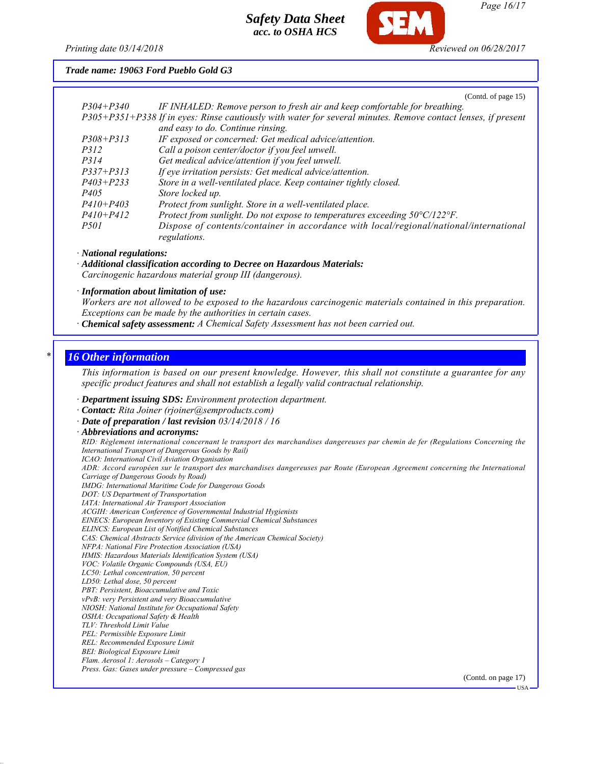

*Printing date 03/14/2018 Reviewed on 06/28/2017*

*Trade name: 19063 Ford Pueblo Gold G3*

(Contd. of page 15)

| $P304 + P340$ | IF INHALED: Remove person to fresh air and keep comfortable for breathing.                                    |
|---------------|---------------------------------------------------------------------------------------------------------------|
|               | P305+P351+P338 If in eyes: Rinse cautiously with water for several minutes. Remove contact lenses, if present |
|               | and easy to do. Continue rinsing.                                                                             |
| $P308 + P313$ | IF exposed or concerned: Get medical advice/attention.                                                        |
| <i>P312</i>   | Call a poison center/doctor if you feel unwell.                                                               |
| <i>P314</i>   | Get medical advice/attention if you feel unwell.                                                              |
| $P337 + P313$ | If eye irritation persists: Get medical advice/attention.                                                     |
| $P403 + P233$ | Store in a well-ventilated place. Keep container tightly closed.                                              |
| <i>P405</i>   | Store locked up.                                                                                              |
| $P410 + P403$ | Protect from sunlight. Store in a well-ventilated place.                                                      |
| $P410 + P412$ | Protect from sunlight. Do not expose to temperatures exceeding $50^{\circ}$ C/122 $^{\circ}$ F.               |
| <i>P501</i>   | Dispose of contents/container in accordance with local/regional/national/international                        |
|               | regulations.                                                                                                  |
|               |                                                                                                               |

*· National regulations:*

*· Additional classification according to Decree on Hazardous Materials: Carcinogenic hazardous material group III (dangerous).*

*· Information about limitation of use:*

*Workers are not allowed to be exposed to the hazardous carcinogenic materials contained in this preparation. Exceptions can be made by the authorities in certain cases.*

*· Chemical safety assessment: A Chemical Safety Assessment has not been carried out.*

#### *\* 16 Other information*

*This information is based on our present knowledge. However, this shall not constitute a guarantee for any specific product features and shall not establish a legally valid contractual relationship.*

*· Department issuing SDS: Environment protection department.*

*· Contact: Rita Joiner (rjoiner@semproducts.com)*

*· Date of preparation / last revision 03/14/2018 / 16*

*· Abbreviations and acronyms: RID: Règlement international concernant le transport des marchandises dangereuses par chemin de fer (Regulations Concerning the International Transport of Dangerous Goods by Rail) ICAO: International Civil Aviation Organisation ADR: Accord européen sur le transport des marchandises dangereuses par Route (European Agreement concerning the International Carriage of Dangerous Goods by Road) IMDG: International Maritime Code for Dangerous Goods DOT: US Department of Transportation IATA: International Air Transport Association ACGIH: American Conference of Governmental Industrial Hygienists EINECS: European Inventory of Existing Commercial Chemical Substances ELINCS: European List of Notified Chemical Substances CAS: Chemical Abstracts Service (division of the American Chemical Society) NFPA: National Fire Protection Association (USA) HMIS: Hazardous Materials Identification System (USA) VOC: Volatile Organic Compounds (USA, EU) LC50: Lethal concentration, 50 percent LD50: Lethal dose, 50 percent PBT: Persistent, Bioaccumulative and Toxic vPvB: very Persistent and very Bioaccumulative NIOSH: National Institute for Occupational Safety OSHA: Occupational Safety & Health TLV: Threshold Limit Value PEL: Permissible Exposure Limit REL: Recommended Exposure Limit BEI: Biological Exposure Limit Flam. Aerosol 1: Aerosols – Category 1 Press. Gas: Gases under pressure – Compressed gas* (Contd. on page 17)

USA